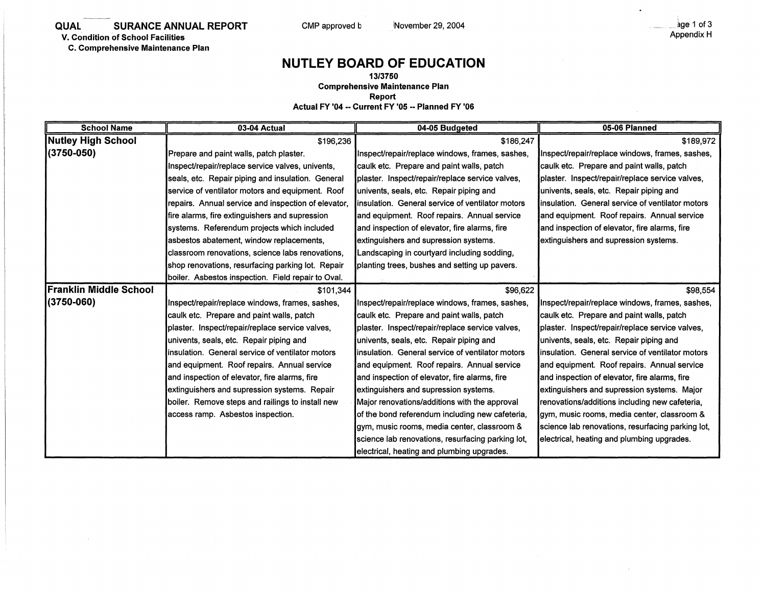**C. Comprehensive Maintenance Plan** 

## **NUTLEY BOARD OF EDUCATION**

**13/3750 Comprehensive Maintenance Plan** 

**Report** 

**Actual FY '04 ,. Current FY '05 -· Planned FY '06** 

| <b>School Name</b>        | 03-04 Actual                                        | 04-05 Budgeted                                    | 05-06 Planned                                     |
|---------------------------|-----------------------------------------------------|---------------------------------------------------|---------------------------------------------------|
| <b>Nutley High School</b> | \$196,236                                           | \$186,247                                         | \$189,972                                         |
| (3750-050)                | Prepare and paint walls, patch plaster.             | Inspect/repair/replace windows, frames, sashes,   | Inspect/repair/replace windows, frames, sashes,   |
|                           | Inspect/repair/replace service valves, univents,    | caulk etc. Prepare and paint walls, patch         | caulk etc. Prepare and paint walls, patch         |
|                           | seals, etc. Repair piping and insulation. General   | plaster. Inspect/repair/replace service valves,   | plaster. Inspect/repair/replace service valves,   |
|                           | service of ventilator motors and equipment. Roof    | univents, seals, etc. Repair piping and           | univents, seals, etc. Repair piping and           |
|                           | repairs. Annual service and inspection of elevator, | linsulation. General service of ventilator motors | linsulation. General service of ventilator motors |
|                           | fire alarms, fire extinguishers and supression      | land equipment. Roof repairs. Annual service      | and equipment. Roof repairs. Annual service       |
|                           | systems. Referendum projects which included         | and inspection of elevator, fire alarms, fire     | and inspection of elevator, fire alarms, fire     |
|                           | lasbestos abatement, window replacements,           | lextinguishers and supression systems.            | extinguishers and supression systems.             |
|                           | classroom renovations, science labs renovations,    | Landscaping in courtyard including sodding,       |                                                   |
|                           | shop renovations, resurfacing parking lot. Repair   | planting trees, bushes and setting up pavers.     |                                                   |
|                           | boiler. Asbestos inspection. Field repair to Oval.  |                                                   |                                                   |
| Franklin Middle School    | \$101,344                                           | \$96,622                                          | \$98,554                                          |
| $(3750 - 060)$            | Inspect/repair/replace windows, frames, sashes,     | Inspect/repair/replace windows, frames, sashes,   | Inspect/repair/replace windows, frames, sashes,   |
|                           | caulk etc. Prepare and paint walls, patch           | caulk etc. Prepare and paint walls, patch         | caulk etc. Prepare and paint walls, patch         |
|                           | plaster. Inspect/repair/replace service valves,     | plaster. Inspect/repair/replace service valves,   | plaster. Inspect/repair/replace service valves,   |
|                           | univents, seals, etc. Repair piping and             | univents, seals, etc. Repair piping and           | univents, seals, etc. Repair piping and           |
|                           | insulation. General service of ventilator motors    | insulation. General service of ventilator motors  | linsulation. General service of ventilator motors |
|                           | and equipment. Roof repairs. Annual service         | and equipment. Roof repairs. Annual service       | and equipment. Roof repairs. Annual service       |
|                           | and inspection of elevator, fire alarms, fire       | and inspection of elevator, fire alarms, fire     | and inspection of elevator, fire alarms, fire     |
|                           | extinguishers and supression systems. Repair        | extinguishers and supression systems.             | extinguishers and supression systems. Major       |
|                           | boiler. Remove steps and railings to install new    | Major renovations/additions with the approval     | renovations/additions including new cafeteria,    |
|                           | access ramp. Asbestos inspection.                   | of the bond referendum including new cafeteria,   | gym, music rooms, media center, classroom &       |
|                           |                                                     | gym, music rooms, media center, classroom &       | science lab renovations, resurfacing parking lot, |
|                           |                                                     | science lab renovations, resurfacing parking lot, | electrical, heating and plumbing upgrades.        |
|                           |                                                     | electrical, heating and plumbing upgrades.        |                                                   |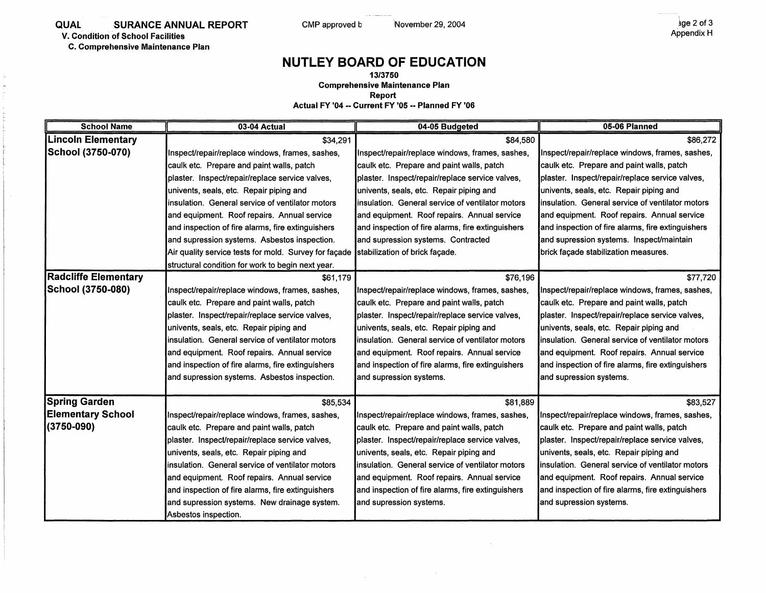**C. Comprehensive Maintenance Plan** 

## **NUTLEY BOARD OF EDUCATION**

**13/3750 Comprehensive Maintenance Plan** 

**Report** 

**Actual FY '04 •• Current FY '05 •• Planned FY '06** 

| <b>School Name</b>          | 03-04 Actual                                          | 04-05 Budgeted                                    | 05-06 Planned                                     |
|-----------------------------|-------------------------------------------------------|---------------------------------------------------|---------------------------------------------------|
| <b>Lincoln Elementary</b>   | \$34,291                                              | \$84,580                                          | \$86,272                                          |
| School (3750-070)           | Inspect/repair/replace windows, frames, sashes,       | Inspect/repair/replace windows, frames, sashes,   | Inspect/repair/replace windows, frames, sashes,   |
|                             | caulk etc. Prepare and paint walls, patch             | caulk etc. Prepare and paint walls, patch         | caulk etc. Prepare and paint walls, patch         |
|                             | plaster. Inspect/repair/replace service valves,       | plaster. Inspect/repair/replace service valves,   | plaster. Inspect/repair/replace service valves,   |
|                             | univents, seals, etc. Repair piping and               | univents, seals, etc. Repair piping and           | univents, seals, etc. Repair piping and           |
|                             | insulation. General service of ventilator motors      | insulation. General service of ventilator motors  | insulation. General service of ventilator motors  |
|                             | and equipment. Roof repairs. Annual service           | and equipment. Roof repairs. Annual service       | and equipment. Roof repairs. Annual service       |
|                             | and inspection of fire alarms, fire extinguishers     | and inspection of fire alarms, fire extinguishers | and inspection of fire alarms, fire extinguishers |
|                             | and supression systems. Asbestos inspection.          | and supression systems. Contracted                | and supression systems. Inspect/maintain          |
|                             | Air quality service tests for mold. Survey for façade | stabilization of brick facade.                    | brick façade stabilization measures.              |
|                             | structural condition for work to begin next year.     |                                                   |                                                   |
| <b>Radcliffe Elementary</b> | \$61,179                                              | \$76,196                                          | \$77,720                                          |
| School (3750-080)           | Inspect/repair/replace windows, frames, sashes,       | Inspect/repair/replace windows, frames, sashes,   | Inspect/repair/replace windows, frames, sashes,   |
|                             | caulk etc. Prepare and paint walls, patch             | caulk etc. Prepare and paint walls, patch         | caulk etc. Prepare and paint walls, patch         |
|                             | plaster. Inspect/repair/replace service valves,       | plaster. Inspect/repair/replace service valves,   | plaster. Inspect/repair/replace service valves,   |
|                             | univents, seals, etc. Repair piping and               | univents, seals, etc. Repair piping and           | univents, seals, etc. Repair piping and           |
|                             | insulation. General service of ventilator motors      | linsulation. General service of ventilator motors | insulation. General service of ventilator motors  |
|                             | and equipment. Roof repairs. Annual service           | and equipment. Roof repairs. Annual service       | and equipment. Roof repairs. Annual service       |
|                             | and inspection of fire alarms, fire extinguishers     | and inspection of fire alarms, fire extinguishers | and inspection of fire alarms, fire extinguishers |
|                             | and supression systems. Asbestos inspection.          | and supression systems.                           | and supression systems.                           |
|                             |                                                       |                                                   |                                                   |
| <b>Spring Garden</b>        | \$85,534                                              | \$81,889                                          | \$83,527                                          |
| <b>Elementary School</b>    | Inspect/repair/replace windows, frames, sashes,       | Inspect/repair/replace windows, frames, sashes,   | Inspect/repair/replace windows, frames, sashes,   |
| (3750-090)                  | caulk etc. Prepare and paint walls, patch             | caulk etc. Prepare and paint walls, patch         | caulk etc. Prepare and paint walls, patch         |
|                             | plaster. Inspect/repair/replace service valves,       | plaster. Inspect/repair/replace service valves,   | plaster. Inspect/repair/replace service valves,   |
|                             | univents, seals, etc. Repair piping and               | univents, seals, etc. Repair piping and           | univents, seals, etc. Repair piping and           |
|                             | linsulation. General service of ventilator motors     | Insulation. General service of ventilator motors  | insulation. General service of ventilator motors  |
|                             | and equipment. Roof repairs. Annual service           | and equipment. Roof repairs. Annual service       | and equipment. Roof repairs. Annual service       |
|                             | and inspection of fire alarms, fire extinguishers     | and inspection of fire alarms, fire extinguishers | and inspection of fire alarms, fire extinguishers |
|                             | and supression systems. New drainage system.          | and supression systems.                           | and supression systems.                           |
|                             | Asbestos inspection.                                  |                                                   |                                                   |

 $\sim$ 

 $\sim$